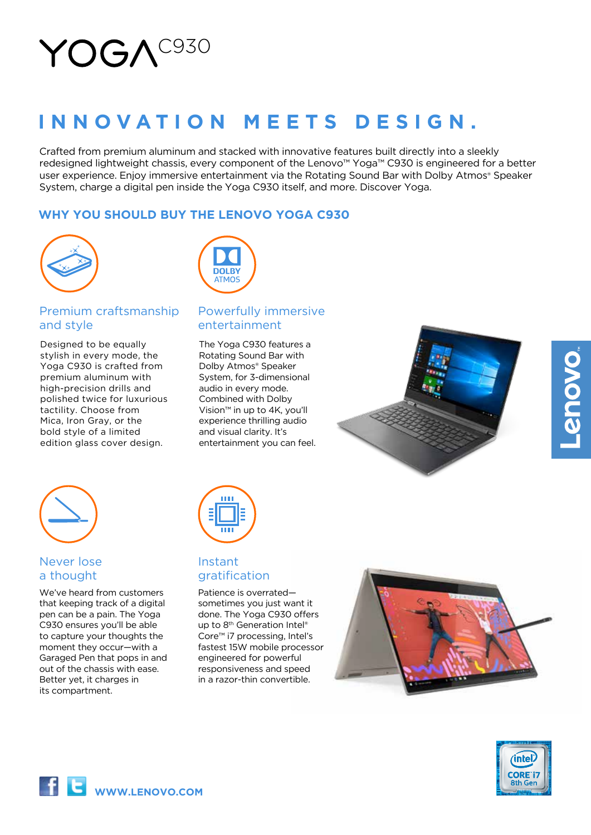# YOGA<sup>C930</sup>

# **INNOVATION MEETS DESIGN.**

Crafted from premium aluminum and stacked with innovative features built directly into a sleekly redesigned lightweight chassis, every component of the Lenovo™ Yoga™ C930 is engineered for a better user experience. Enjoy immersive entertainment via the Rotating Sound Bar with Dolby Atmos® Speaker System, charge a digital pen inside the Yoga C930 itself, and more. Discover Yoga.

# **WHY YOU SHOULD BUY THE LENOVO YOGA C930**



# Premium craftsmanship and style

Designed to be equally stylish in every mode, the Yoga C930 is crafted from premium aluminum with high-precision drills and polished twice for luxurious tactility. Choose from Mica, Iron Gray, or the bold style of a limited edition glass cover design.



# Powerfully immersive entertainment

The Yoga C930 features a Rotating Sound Bar with Dolby Atmos® Speaker System, for 3-dimensional audio in every mode. Combined with Dolby Vision™ in up to 4K, you'll experience thrilling audio and visual clarity. It's entertainment you can feel.





# Never lose a thought

We've heard from customers that keeping track of a digital pen can be a pain. The Yoga C930 ensures you'll be able to capture your thoughts the moment they occur—with a Garaged Pen that pops in and out of the chassis with ease. Better yet, it charges in its compartment.



# Instant gratification

Patience is overrated sometimes you just want it done. The Yoga C930 offers up to 8<sup>th</sup> Generation Intel<sup>®</sup> Core™ i7 processing, Intel's fastest 15W mobile processor engineered for powerful responsiveness and speed in a razor-thin convertible.